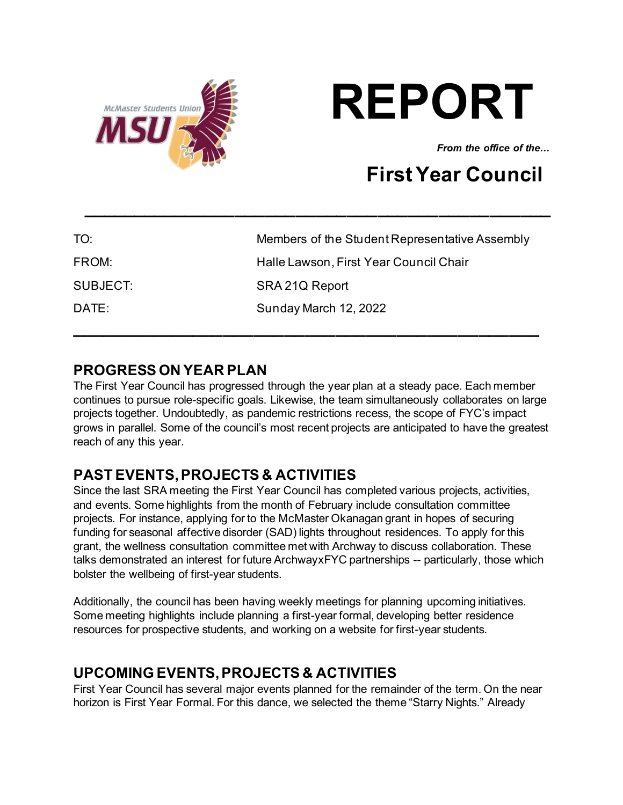



*From the office of the...* 

# **First Year Council**

| TO:      | Members of the Student Representative Assembly |
|----------|------------------------------------------------|
| FROM:    | Halle Lawson, First Year Council Chair         |
| SUBJECT: | SRA 21Q Report                                 |
| DATE:    | Sunday March 12, 2022                          |
|          |                                                |

**\_\_\_\_\_\_\_\_\_\_\_\_\_\_\_\_\_\_\_\_\_\_\_\_\_\_\_\_\_\_\_\_\_\_\_\_\_\_\_\_\_\_\_\_\_\_**

## **PROGRESS ON YEAR PLAN**

The First Year Council has progressed through the year plan at a steady pace. Each member continues to pursue role-specific goals. Likewise, the team simultaneously collaborates on large projects together. Undoubtedly, as pandemic restrictions recess, the scope of FYC's impact grows in parallel. Some of the council's most recent projects are anticipated to have the greatest reach of any this year.

# **PAST EVENTS, PROJECTS & ACTIVITIES**

Since the last SRA meeting the First Year Council has completed various projects, activities, and events. Some highlights from the month of February include consultation committee projects. For instance, applying for to the McMaster Okanagan grant in hopes of securing funding for seasonal affective disorder (SAD) lights throughout residences. To apply for this grant, the wellness consultation committee met with Archway to discuss collaboration. These talks demonstrated an interest for future ArchwayxFYC partnerships -- particularly, those which bolster the wellbeing of first-year students.

Additionally, the council has been having weekly meetings for planning upcoming initiatives. Some meeting highlights include planning a first-year formal, developing better residence resources for prospective students, and working on a website for first-year students.

### **UPCOMING EVENTS, PROJECTS & ACTIVITIES**

First Year Council has several major events planned for the remainder of the term. On the near horizon is First Year Formal. For this dance, we selected the theme "Starry Nights." Already